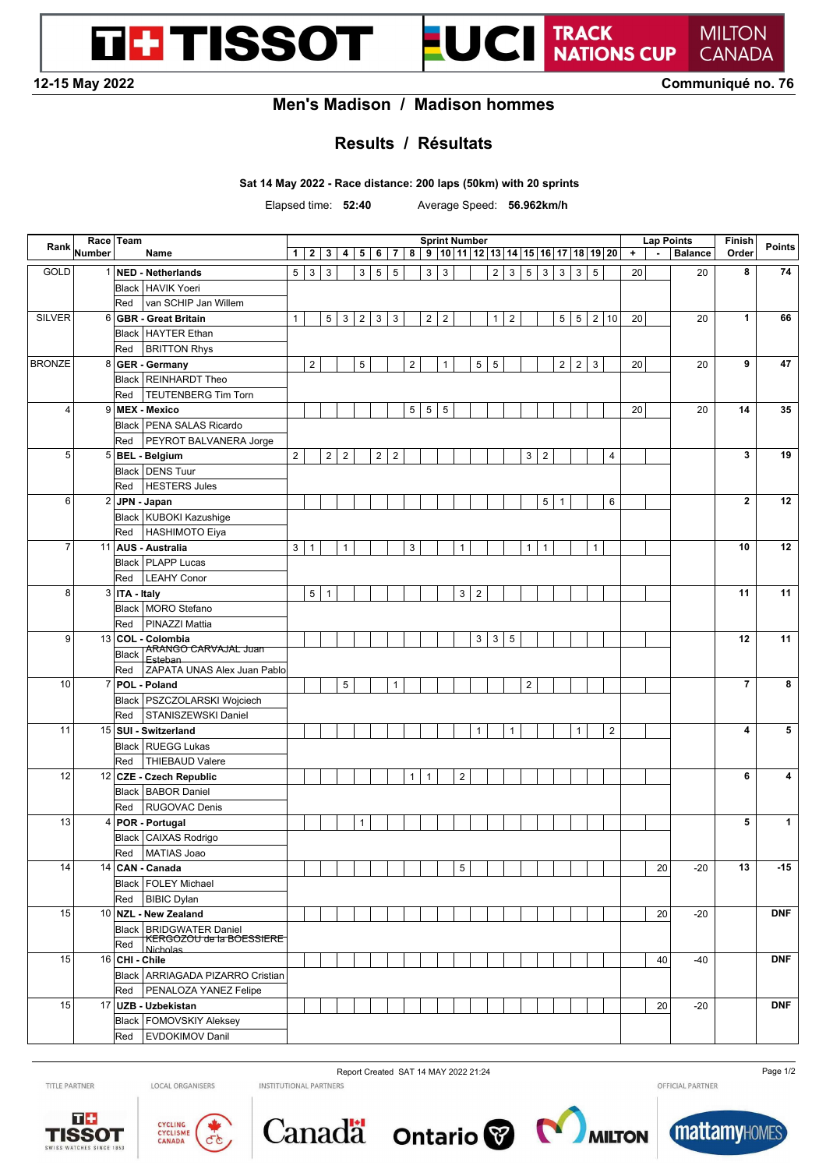**12-15 May 2022 Communiqué no. 76**

**MILTON CANADA** 

TRACK<br>NATIONS CUP

#### **Men's Madison / Madison hommes**

### **Results / Résultats**

**Sat 14 May 2022 - Race distance: 200 laps (50km) with 20 sprints**

**TH TISSOT** 

Elapsed time: **52:40** Average Speed: **56.962km/h**

UCI

| Rank           |        | Race   Team     |                                                  |                | <b>Sprint Number</b><br>9 10 11 12 13 14 15 16 17 18 19 20 |                |                |                |                |                |                         |                |                |                |                 |                |                | <b>Lap Points</b> |                 |                | Finish         | <b>Points</b> |                 |         |                          |                |                          |              |
|----------------|--------|-----------------|--------------------------------------------------|----------------|------------------------------------------------------------|----------------|----------------|----------------|----------------|----------------|-------------------------|----------------|----------------|----------------|-----------------|----------------|----------------|-------------------|-----------------|----------------|----------------|---------------|-----------------|---------|--------------------------|----------------|--------------------------|--------------|
|                | Number |                 | Name                                             | $\mathbf{1}$   | $\mathbf{2}$                                               | 3              | 4              | 5 <sup>1</sup> | 6              | $\overline{7}$ | 8                       |                |                |                |                 |                |                |                   |                 |                |                |               |                 | $\ddag$ | $\overline{\phantom{a}}$ | <b>Balance</b> | Order                    |              |
| GOLD           |        |                 | 1 NED - Netherlands                              | 5              | $\ensuremath{\mathsf{3}}$                                  | $\sqrt{3}$     |                | 3 <sup>1</sup> | $\sqrt{5}$     | $\,$ 5 $\,$    |                         | $\mathsf 3$    | $\mathbf{3}$   |                |                 | $\overline{2}$ | 3 <sup>1</sup> | $\sqrt{5}$        | $\mathbf{3}$    | $\mathbf{3}$   | 3              | $\sqrt{5}$    |                 | 20      |                          | 20             | 8                        | 74           |
|                |        |                 | Black   HAVIK Yoeri                              |                |                                                            |                |                |                |                |                |                         |                |                |                |                 |                |                |                   |                 |                |                |               |                 |         |                          |                |                          |              |
|                |        | Red             | van SCHIP Jan Willem                             |                |                                                            |                |                |                |                |                |                         |                |                |                |                 |                |                |                   |                 |                |                |               |                 |         |                          |                |                          |              |
| <b>SILVER</b>  |        |                 | 6 GBR - Great Britain                            | $\mathbf{1}$   |                                                            | 5              | $\mathbf{3}$   |                | $2 \mid 3$     | 3              |                         | $\overline{2}$ | $\overline{2}$ |                |                 | $\mathbf{1}$   | $\sqrt{2}$     |                   |                 | 5              | $\sqrt{5}$     |               | 2 10            | 20      |                          | 20             | $\mathbf{1}$             | 66           |
|                |        |                 | Black   HAYTER Ethan                             |                |                                                            |                |                |                |                |                |                         |                |                |                |                 |                |                |                   |                 |                |                |               |                 |         |                          |                |                          |              |
|                |        | Red             | <b>BRITTON Rhys</b>                              |                |                                                            |                |                |                |                |                |                         |                |                |                |                 |                |                |                   |                 |                |                |               |                 |         |                          |                |                          |              |
| <b>BRONZE</b>  | 8      |                 | <b>GER - Germany</b>                             |                | $\overline{2}$                                             |                |                | 5              |                |                | $\overline{\mathbf{c}}$ |                | $\mathbf{1}$   |                | $5\phantom{.0}$ | $\sqrt{5}$     |                |                   |                 | $\overline{2}$ | $\overline{2}$ | 3             |                 | 20      |                          | 20             | 9                        | 47           |
|                |        |                 | Black   REINHARDT Theo                           |                |                                                            |                |                |                |                |                |                         |                |                |                |                 |                |                |                   |                 |                |                |               |                 |         |                          |                |                          |              |
|                |        | Red             | <b>TEUTENBERG Tim Torn</b>                       |                |                                                            |                |                |                |                |                |                         |                |                |                |                 |                |                |                   |                 |                |                |               |                 |         |                          |                |                          |              |
| $\overline{4}$ |        |                 | 9 MEX - Mexico                                   |                |                                                            |                |                |                |                |                | 5                       | $\,$ 5 $\,$    | $\overline{5}$ |                |                 |                |                |                   |                 |                |                |               |                 | 20      |                          | 20             | 14                       | 35           |
|                |        |                 | Black   PENA SALAS Ricardo                       |                |                                                            |                |                |                |                |                |                         |                |                |                |                 |                |                |                   |                 |                |                |               |                 |         |                          |                |                          |              |
|                |        | Red             | PEYROT BALVANERA Jorge                           |                |                                                            |                |                |                |                |                |                         |                |                |                |                 |                |                |                   |                 |                |                |               |                 |         |                          |                |                          |              |
| 5              |        |                 | 5 BEL - Belgium                                  | $\overline{c}$ |                                                            | $\overline{2}$ | $\overline{2}$ |                | 2 <sup>1</sup> | $\overline{2}$ |                         |                |                |                |                 |                |                | 3                 | $\overline{2}$  |                |                |               | $\overline{4}$  |         |                          |                | 3                        | 19           |
|                |        |                 | Black   DENS Tuur                                |                |                                                            |                |                |                |                |                |                         |                |                |                |                 |                |                |                   |                 |                |                |               |                 |         |                          |                |                          |              |
|                |        | Red             | <b>HESTERS Jules</b>                             |                |                                                            |                |                |                |                |                |                         |                |                |                |                 |                |                |                   |                 |                |                |               |                 |         |                          |                |                          |              |
| 6              |        |                 | 2 JPN - Japan                                    |                |                                                            |                |                |                |                |                |                         |                |                |                |                 |                |                |                   | $5\phantom{.0}$ | $\mathbf{1}$   |                |               | $6\phantom{1}6$ |         |                          |                | $\mathbf{2}$             | 12           |
|                |        |                 | Black   KUBOKI Kazushige                         |                |                                                            |                |                |                |                |                |                         |                |                |                |                 |                |                |                   |                 |                |                |               |                 |         |                          |                |                          |              |
|                |        | Red             | HASHIMOTO Eiya                                   |                |                                                            |                |                |                |                |                |                         |                |                |                |                 |                |                |                   |                 |                |                |               |                 |         |                          |                |                          |              |
| $\overline{7}$ |        |                 | 11 AUS - Australia                               | 3              | $\mathbf{1}$                                               |                | $\mathbf{1}$   |                |                |                | 3                       |                |                | $\mathbf{1}$   |                 |                |                | $\mathbf{1}$      | $\mathbf{1}$    |                |                | $\mathbf{1}$  |                 |         |                          |                | 10                       | 12           |
|                |        |                 | Black   PLAPP Lucas                              |                |                                                            |                |                |                |                |                |                         |                |                |                |                 |                |                |                   |                 |                |                |               |                 |         |                          |                |                          |              |
|                |        | Red             | <b>LEAHY Conor</b>                               |                |                                                            |                |                |                |                |                |                         |                |                |                |                 |                |                |                   |                 |                |                |               |                 |         |                          |                |                          |              |
| 8              |        | 3   ITA - Italy |                                                  |                | 5                                                          | $\overline{1}$ |                |                |                |                |                         |                |                | 3              | $\overline{2}$  |                |                |                   |                 |                |                |               |                 |         |                          |                | 11                       | 11           |
|                |        |                 | Black MORO Stefano                               |                |                                                            |                |                |                |                |                |                         |                |                |                |                 |                |                |                   |                 |                |                |               |                 |         |                          |                |                          |              |
|                |        |                 |                                                  |                |                                                            |                |                |                |                |                |                         |                |                |                |                 |                |                |                   |                 |                |                |               |                 |         |                          |                |                          |              |
|                |        | Red             | PINAZZI Mattia                                   |                |                                                            |                |                |                |                |                |                         |                |                |                |                 |                |                |                   |                 |                |                |               |                 |         |                          |                |                          |              |
| 9              |        |                 | 13 COL - Colombia<br><b>ARANGO CARVAJAL Juan</b> |                |                                                            |                |                |                |                |                |                         |                |                |                | $\mathbf{3}$    | $\mathbf{3}$   | 5              |                   |                 |                |                |               |                 |         |                          |                | 12                       | 11           |
|                |        | Black           | Esteban                                          |                |                                                            |                |                |                |                |                |                         |                |                |                |                 |                |                |                   |                 |                |                |               |                 |         |                          |                |                          |              |
|                |        | Red             | ZAPATA UNAS Alex Juan Pablo                      |                |                                                            |                |                |                |                |                |                         |                |                |                |                 |                |                |                   |                 |                |                |               |                 |         |                          |                |                          |              |
| 10             |        |                 | 7 POL - Poland                                   |                |                                                            |                | $\sqrt{5}$     |                |                | $\mathbf{1}$   |                         |                |                |                |                 |                |                | $\sqrt{2}$        |                 |                |                |               |                 |         |                          |                | $\overline{\phantom{a}}$ | 8            |
|                |        |                 | Black   PSZCZOLARSKI Wojciech                    |                |                                                            |                |                |                |                |                |                         |                |                |                |                 |                |                |                   |                 |                |                |               |                 |         |                          |                |                          |              |
|                |        | Red             | STANISZEWSKI Daniel                              |                |                                                            |                |                |                |                |                |                         |                |                |                |                 |                |                |                   |                 |                |                |               |                 |         |                          |                |                          |              |
| 11             |        |                 | 15 SUI - Switzerland                             |                |                                                            |                |                |                |                |                |                         |                |                |                | $\mathbf{1}$    |                | $\mathbf{1}$   |                   |                 |                | $\mathbf{1}$   |               | $\overline{2}$  |         |                          |                | 4                        | 5            |
|                |        |                 | Black   RUEGG Lukas                              |                |                                                            |                |                |                |                |                |                         |                |                |                |                 |                |                |                   |                 |                |                |               |                 |         |                          |                |                          |              |
|                |        | Red             | THIEBAUD Valere                                  |                |                                                            |                |                |                |                |                |                         |                |                |                |                 |                |                |                   |                 |                |                |               |                 |         |                          |                |                          |              |
| 12             |        |                 | 12 CZE - Czech Republic                          |                |                                                            |                |                |                |                |                | $\mathbf{1}$            | $\mathbf 1$    |                | $\overline{2}$ |                 |                |                |                   |                 |                |                |               |                 |         |                          |                | 6                        | 4            |
|                |        |                 | Black   BABOR Daniel                             |                |                                                            |                |                |                |                |                |                         |                |                |                |                 |                |                |                   |                 |                |                |               |                 |         |                          |                |                          |              |
|                |        | Red             | <b>RUGOVAC Denis</b>                             |                |                                                            |                |                |                |                |                |                         |                |                |                |                 |                |                |                   |                 |                |                |               |                 |         |                          |                |                          |              |
| 13             |        |                 | 4 POR - Portugal                                 |                |                                                            |                |                | $\mathbf{1}$   |                |                |                         |                |                |                |                 |                |                |                   |                 |                |                |               |                 |         |                          |                | 5                        | $\mathbf{1}$ |
|                |        |                 | Black   CAIXAS Rodrigo                           |                |                                                            |                |                |                |                |                |                         |                |                |                |                 |                |                |                   |                 |                |                |               |                 |         |                          |                |                          |              |
|                |        | Red             | MATIAS Joao                                      |                |                                                            |                |                |                |                |                |                         |                |                |                |                 |                |                |                   |                 |                |                |               |                 |         |                          |                |                          |              |
| 14             |        |                 | 14 CAN - Canada                                  |                |                                                            |                |                |                |                |                |                         |                |                | 5              |                 |                |                |                   |                 |                |                |               |                 |         | 20                       | $-20$          | 13                       | -15          |
|                |        |                 | Black   FOLEY Michael                            |                |                                                            |                |                |                |                |                |                         |                |                |                |                 |                |                |                   |                 |                |                |               |                 |         |                          |                |                          |              |
|                |        | Red             | <b>BIBIC Dylan</b>                               |                |                                                            |                |                |                |                |                |                         |                |                |                |                 |                |                |                   |                 |                |                |               |                 |         |                          |                |                          |              |
| 15             |        |                 | 10 NZL - New Zealand                             |                |                                                            |                |                |                |                |                |                         |                |                |                |                 |                |                |                   |                 |                |                |               |                 |         | 20                       | $-20$          |                          | <b>DNF</b>   |
|                |        |                 | Black   BRIDGWATER Daniel                        |                |                                                            |                |                |                |                |                |                         |                |                |                |                 |                |                |                   |                 |                |                |               |                 |         |                          |                |                          |              |
|                |        | Red             | <b>KERGOZOU de la BOESSIERE</b><br>Nicholas      |                |                                                            |                |                |                |                |                |                         |                |                |                |                 |                |                |                   |                 |                |                |               |                 |         |                          |                |                          |              |
| 15             |        | 16 CHI - Chile  |                                                  |                |                                                            |                |                |                |                |                |                         |                |                |                |                 |                |                |                   |                 |                |                |               |                 |         | 40                       | -40            |                          | <b>DNF</b>   |
|                |        |                 | Black ARRIAGADA PIZARRO Cristian                 |                |                                                            |                |                |                |                |                |                         |                |                |                |                 |                |                |                   |                 |                |                |               |                 |         |                          |                |                          |              |
|                |        | Red             | PENALOZA YANEZ Felipe                            |                |                                                            |                |                |                |                |                |                         |                |                |                |                 |                |                |                   |                 |                |                |               |                 |         |                          |                |                          |              |
| 15             |        |                 | 17 UZB - Uzbekistan                              |                |                                                            |                |                |                |                |                |                         |                |                |                |                 |                |                |                   |                 |                |                |               |                 |         | 20                       | $-20$          |                          | <b>DNF</b>   |
|                |        |                 | Black   FOMOVSKIY Aleksey                        |                |                                                            |                |                |                |                |                |                         |                |                |                |                 |                |                |                   |                 |                |                |               |                 |         |                          |                |                          |              |
|                |        | Red             | EVDOKIMOV Danil                                  |                |                                                            |                |                |                |                |                |                         |                |                |                |                 |                |                |                   |                 |                |                |               |                 |         |                          |                |                          |              |
|                |        |                 |                                                  |                |                                                            |                |                |                |                |                |                         |                |                |                |                 |                |                |                   |                 |                |                |               |                 |         |                          |                |                          |              |

TITLE PARTNER

LOCAL ORGANISERS













Report Created SAT 14 MAY 2022 21:24 Page 1/2<br>
INSTITUTIONAL PARTNERS